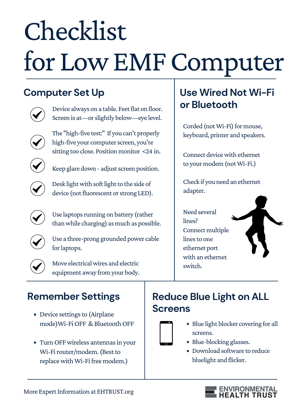# Checklist for LowEMFComputer

Connect device with ethernet to your modem (notWi-Fi.)

#### **Reduce Blue Light on ALL Screens**

Need several lines? Connect multiple lines to one ethernet port with an ethernet switch.



- 
- Blue light blocker covering for all screens.
- Blue-blocking glasses.
- Download software to reduce bluelight and flicker.



Corded (not Wi-Fi) for mouse, keyboard, printer and speakers.

Device always on <sup>a</sup> table. Feetflat on floor. **or Bluetooth** Screen is at—or slightly below—eye level.



Check if you need an ethernet adapter.



The "high-five test:" If you can't properly high-five your computer screen, you're sitting too close. Position monitor <24 in.



Keep glare down - adjust screen position.



Desk light with soft light to the side of device (not fluorescent or strong LED).

Move electrical wires and electric equipment away from your body.

Use laptops running on battery (rather thanwhile charging) as much as possible.

Use a three-prong grounded power cable for laptops.





# **Use Wired Not Wi-Fi**

#### **Computer Set Up**



#### **Remember Settings**

- Device settings to (Airplane mode) Wi-Fi OFF & Bluetooth OFF
- Turn OFF wireless antennas in your Wi-Firouter/modem. (Best to replace with Wi-Fi free modem.)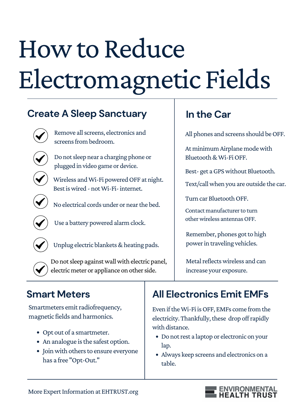- Opt out of a smartmeter.
- An analogue is the safest option.
- Join with others to ensure everyone has a free "Opt-Out."

## **All Electronics Emit EMFs**

Even if the Wi-Fi is OFF, EMFs come from the electricity. Thankfully, these drop off rapidly with distance.

- Do notrest a laptop or electronic on your lap.
- Always keep screens and electronics on a table.



Metal reflects wireless and can increase your exposure.

Smartmeters emit radiofrequency, magnetic fields and harmonics.

At minimum Airplane mode with Bluetooth&Wi-FiOFF.

Best- get a GPS without Bluetooth.

Do notsleep near a charging phone or plugged in video game or device.



Wireless and Wi-Fi powered OFF at night. Best is wired - not Wi-Fi- internet.



# How to Reduce Electromagnetic Fields

#### **In the Car**

All phones and screens should be OFF.

Use a battery powered alarm clock.



Unplug electric blankets & heating pads.



Do not sleep against wall with electric panel, electric meter or appliance on other side.

Remember, phones got to high power in traveling vehicles.

#### **Create A Sleep Sanctuary**



Remove all screens, electronics and screens from bedroom.



### **Smart Meters**

No electrical cords under or nearthe bed.

Text/callwhen you are outside the car.

Turn car Bluetooth OFF.

Contact manufacturer to turn other wireless antennas OFF.

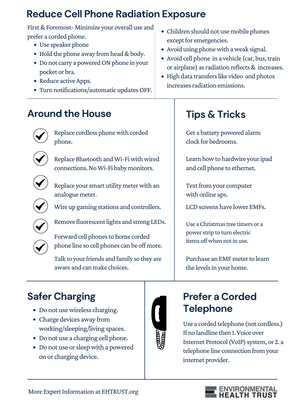- Children should not use mobile phones except for emergencies.
- Avoid using phonewith aweak signal.
- Avoid cell phone in a vehicle (car, bus, train or airplane) as radiation reflects & increases.
- High data transfers like video and photos increases radiation emissions.

- Do not use wireless charging.
- Charge devices away from working/sleeping/living spaces.
- Do not use a charging cell phone.
- Do not use or sleep with a powered on or charging device.



Forward cell phones to home corded phone line so cell phones can be off more.



Text from your computer with online aps.

LCD screens have lower EMFs.





Remove fluorescent lights and strong LEDs.

Replace your smart utility meter with an analogue meter.



Replace Bluetooth and Wi-Fi with wired connections.NoWi-Fi baby monitors.



#### **Prefer a Corded Telephone**

Learn how to hardwire your ipad and cell phone to ethernet.

Use a corded telephone (not cordless.) If no landline then 1.Voice over Internet Protocol (VoIP) system, or 2. a telephone line connection from your internet provider.



First & Foremost-Minimize your overall use and prefer a corded phone.

- Use speaker phone
- Hold the phone away from head & body.
- Do not carry a powered ON phone in your pocket or bra.
- Reduce active Apps.
- Turn notifications/automatic updates OFF.

Talk to your friends and family so they are aware and can make choices.

Use a Christmas tree timers or a power strip to turn electric items off when not in use.

Purchase an EMF meter to learn the levels in your home.

### **Tips & Tricks**

Get a battery powered alarm clock for bedrooms.

Replace cordless phonewith corded phone.



#### **Around the House**



# **Safer Charging**

Wire up gaming stations and controllers.

#### **Reduce Cell Phone Radiation Exposure**